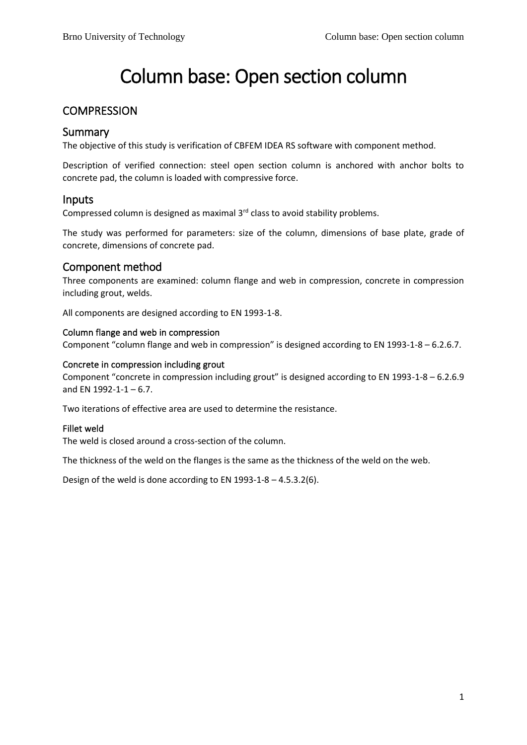# Column base: Open section column

# **COMPRESSION**

# Summary

The objective of this study is verification of CBFEM IDEA RS software with component method.

Description of verified connection: steel open section column is anchored with anchor bolts to concrete pad, the column is loaded with compressive force.

### Inputs

Compressed column is designed as maximal 3<sup>rd</sup> class to avoid stability problems.

The study was performed for parameters: size of the column, dimensions of base plate, grade of concrete, dimensions of concrete pad.

# Component method

Three components are examined: column flange and web in compression, concrete in compression including grout, welds.

All components are designed according to EN 1993-1-8.

### Column flange and web in compression

Component "column flange and web in compression" is designed according to EN 1993-1-8 – 6.2.6.7.

### Concrete in compression including grout

Component "concrete in compression including grout" is designed according to EN 1993-1-8 – 6.2.6.9 and EN 1992-1-1  $-6.7$ .

Two iterations of effective area are used to determine the resistance.

### Fillet weld

The weld is closed around a cross-section of the column.

The thickness of the weld on the flanges is the same as the thickness of the weld on the web.

Design of the weld is done according to EN 1993-1-8 – 4.5.3.2(6).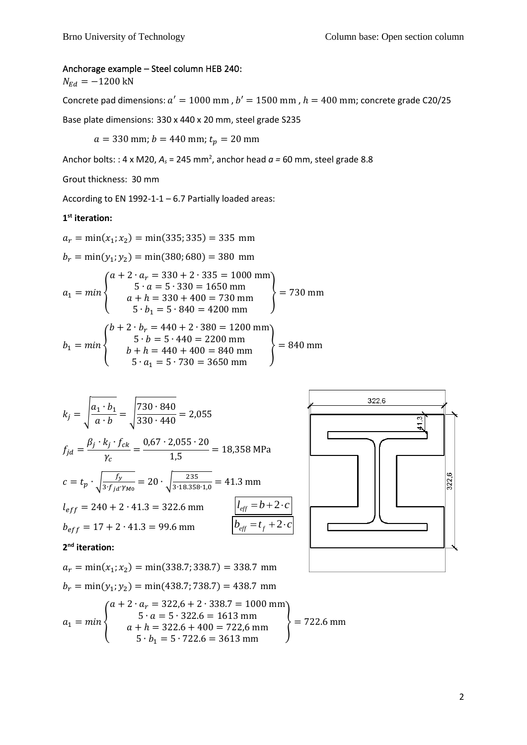### Anchorage example – Steel column HEB 240:

 $N_{Ed} = -1200$  kN

Concrete pad dimensions:  $a' = 1000$  mm,  $b' = 1500$  mm,  $h = 400$  mm; concrete grade C20/25

Base plate dimensions: 330 x 440 x 20 mm, steel grade S235

 $a = 330$  mm;  $b = 440$  mm;  $t_p = 20$  mm

Anchor bolts: : 4 x M20, *A<sup>s</sup>* = 245 mm<sup>2</sup> , anchor head *a =* 60 mm, steel grade 8.8

Grout thickness: 30 mm

According to EN 1992-1-1 – 6.7 Partially loaded areas:

### **1 st iteration:**

 $a_r = \min(x_1; x_2) = \min(335; 335) = 335$  mm  $b_r = \min(y_1; y_2) = \min(380; 680) = 380$  mm  $a_1 = min \big\{$  $a + 2 \cdot a_r = 330 + 2 \cdot 335 = 1000$  mm  $5 \cdot a = 5 \cdot 330 = 1650$  mm  $a + h = 330 + 400 = 730$  mm<br>  $5 \cdot b_1 = 5 \cdot 840 = 4200$  mm  $b_1 = min \big\{$  $b + 2 \cdot b_r = 440 + 2 \cdot 380 = 1200$  mm  $5 \cdot b = 5 \cdot 440 = 2200$  mm

$$
b_1 = min \n\begin{cases}\n\text{b } + \text{h} = 440 + 400 = 840 \text{ mm} \\
5 \cdot a_1 = 5 \cdot 730 = 3650 \text{ mm}\n\end{cases}\n= 840 \text{ mm}
$$

$$
k_j = \sqrt{\frac{a_1 \cdot b_1}{a \cdot b}} = \sqrt{\frac{730 \cdot 840}{330 \cdot 440}} = 2,055
$$
  
\n
$$
f_{jd} = \frac{\beta_j \cdot k_j \cdot f_{ck}}{\gamma_c} = \frac{0,67 \cdot 2,055 \cdot 20}{1,5} = 18,358 \text{ MPa}
$$
  
\n
$$
c = t_p \cdot \sqrt{\frac{f_y}{3 \cdot f_{jd} \cdot \gamma_{M0}}} = 20 \cdot \sqrt{\frac{235}{3 \cdot 18,358 \cdot 1,0}} = 41.3 \text{ mm}
$$
  
\n
$$
l_{eff} = 240 + 2 \cdot 41.3 = 322.6 \text{ mm}
$$
  
\n
$$
b_{eff} = 17 + 2 \cdot 41.3 = 99.6 \text{ mm}
$$
  
\n
$$
l_{eff} = b + 2 \cdot c
$$
  
\n
$$
l_{eff} = t_f + 2 \cdot c
$$



### **2 nd iteration:**

$$
a_r = \min(x_1; x_2) = \min(338.7; 338.7) = 338.7 \text{ mm}
$$
  
\n
$$
b_r = \min(y_1; y_2) = \min(438.7; 738.7) = 438.7 \text{ mm}
$$
  
\n
$$
a_1 = \min\begin{cases} a + 2 \cdot a_r = 322.6 + 2 \cdot 338.7 = 1000 \text{ mm} \\ 5 \cdot a = 5 \cdot 322.6 = 1613 \text{ mm} \\ a + h = 322.6 + 400 = 722.6 \text{ mm} \\ 5 \cdot b_1 = 5 \cdot 722.6 = 3613 \text{ mm} \end{cases} = 722.6 \text{ mm}
$$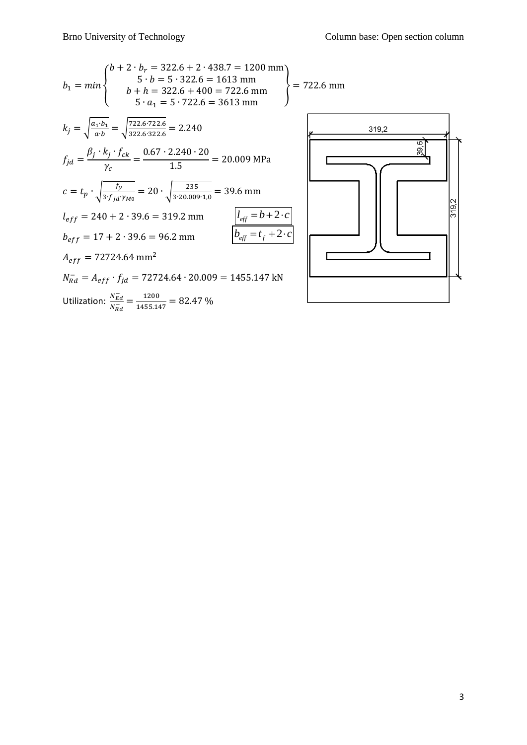$$
b_{1} = min \begin{cases} b + 2 \cdot b_{r} = 322.6 + 2 \cdot 438.7 = 1200 \text{ mm} \\ 5 \cdot b = 5 \cdot 322.6 = 1613 \text{ mm} \\ b + h = 322.6 + 400 = 722.6 \text{ mm} \\ 5 \cdot a_{1} = 5 \cdot 722.6 = 3613 \text{ mm} \end{cases} = 722.6 \text{ mm}
$$
  
\n
$$
k_{j} = \sqrt{\frac{a_{1} \cdot b_{1}}{a \cdot b}} = \sqrt{\frac{722.6 \cdot 722.6}{322.6 \cdot 322.6}} = 2.240
$$
  
\n
$$
f_{jd} = \frac{\beta_{j} \cdot k_{j} \cdot f_{ck}}{\gamma_{c}} = \frac{0.67 \cdot 2.240 \cdot 20}{1.5} = 20.009 \text{ MPa}
$$
  
\n
$$
c = t_{p} \cdot \sqrt{\frac{f_{y}}{3 \cdot f_{jd} \cdot \gamma_{M0}}} = 20 \cdot \sqrt{\frac{235}{3 \cdot 20.009 \cdot 1,0}} = 39.6 \text{ mm}
$$
  
\n
$$
l_{eff} = 240 + 2 \cdot 39.6 = 319.2 \text{ mm}
$$
  
\n
$$
h_{eff} = 17 + 2 \cdot 39.6 = 96.2 \text{ mm}
$$
  
\n
$$
A_{eff} = 72724.64 \text{ mm}^{2}
$$
  
\n
$$
N_{rad}^{-1} = A_{eff} \cdot f_{jd} = 72724.64 \cdot 20.009 = 1455.147 \text{ kN}
$$
  
\nUtilization:  $\frac{N_{Ed}}{N_{rad}^{-1}} = \frac{1200}{1455.147} = 82.47 \text{ %}$ 

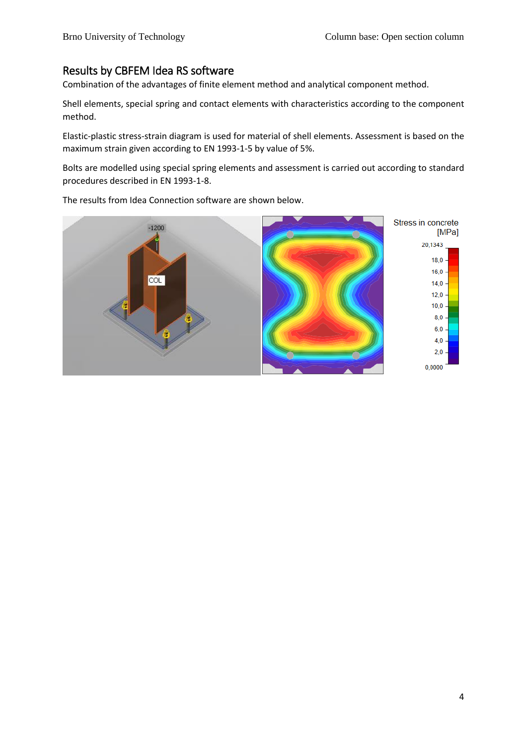# Results by CBFEM Idea RS software

Combination of the advantages of finite element method and analytical component method.

Shell elements, special spring and contact elements with characteristics according to the component method.

Elastic-plastic stress-strain diagram is used for material of shell elements. Assessment is based on the maximum strain given according to EN 1993-1-5 by value of 5%.

Bolts are modelled using special spring elements and assessment is carried out according to standard procedures described in EN 1993-1-8.

The results from Idea Connection software are shown below.

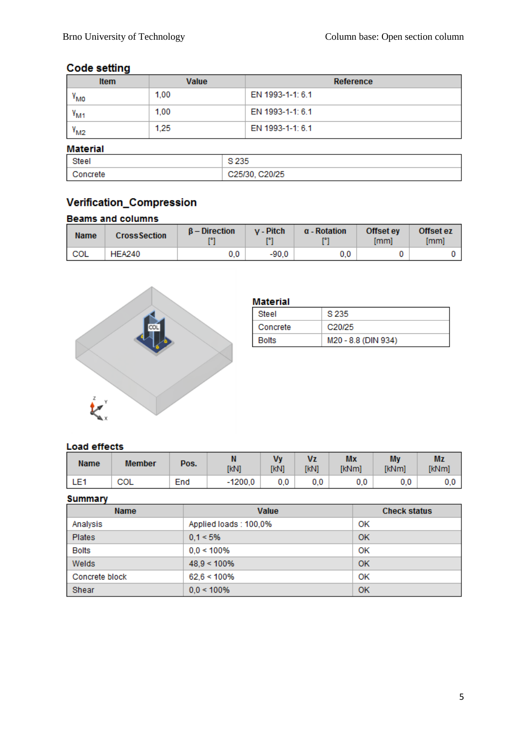# **Code setting**

| <b>Item</b>     | Value | Reference        |
|-----------------|-------|------------------|
| "мо             | 1.00  | EN 1993-1-1: 6.1 |
| $v_{\rm M1}$    | 1,00  | EN 1993-1-1: 6.1 |
| $rM2$           | 1.25  | EN 1993-1-1: 6.1 |
| <b>Material</b> |       |                  |

| Steel  | <b>COLLE</b><br>تالىك         |
|--------|-------------------------------|
| ncrete | C <sub>20</sub> /25<br>vzuut. |

# Verification\_Compression

### **Beams and columns**

| <b>Name</b>      | <b>CrossSection</b> | $B -$ Direction | v - Pitch<br>T®1 | $\alpha$ - Rotation | Offset ey<br>[mm] | Offset ez<br>[mm] |
|------------------|---------------------|-----------------|------------------|---------------------|-------------------|-------------------|
| <sup>1</sup> COL | <b>HEA240</b>       | 0.0             | $-90.0$          | 0.0                 |                   |                   |



| Material     |                     |
|--------------|---------------------|
| Steel        | S 235               |
| Concrete     | C <sub>20</sub> /25 |
| <b>Bolts</b> | M20 - 8.8 (DIN 934) |

# **Load effects**

| <b>Name</b> | <b>Member</b> | Pos. | [kN]      | <b>VV</b><br>[kN] | Vz<br><b>TKN1</b> | Mx<br>[kNm] | My<br>[kNm] | Mz<br>[kNm] |
|-------------|---------------|------|-----------|-------------------|-------------------|-------------|-------------|-------------|
| LE1         | COL           | End  | $-1200,0$ | 0.0               | 0.0               | 0.0         | 0.0         |             |

### **Summary**

| <b>Name</b>    | Value                 | <b>Check status</b> |
|----------------|-----------------------|---------------------|
| Analysis       | Applied loads: 100,0% | OK                  |
| <b>Plates</b>  | $0.1 < 5\%$           | 0K                  |
| <b>Bolts</b>   | $0.0 < 100\%$         | OK                  |
| Welds          | $48.9 < 100\%$        | <b>OK</b>           |
| Concrete block | $62.6 < 100\%$        | OK                  |
| Shear          | $0.0 < 100\%$         | OK                  |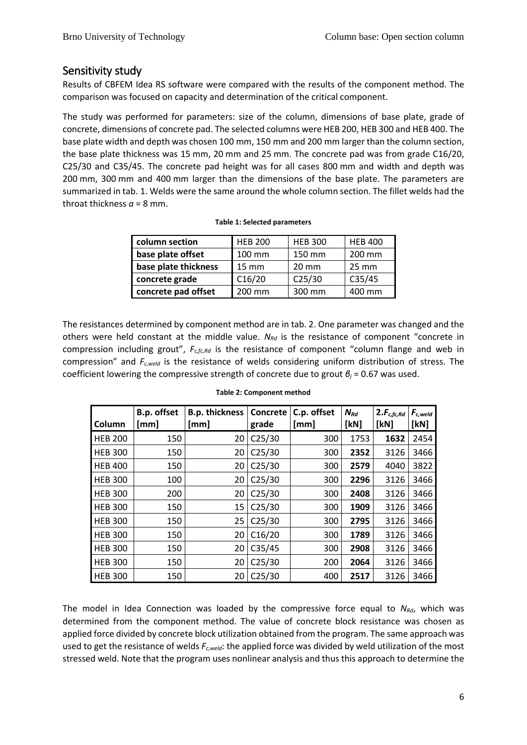# Sensitivity study

Results of CBFEM Idea RS software were compared with the results of the component method. The comparison was focused on capacity and determination of the critical component.

The study was performed for parameters: size of the column, dimensions of base plate, grade of concrete, dimensions of concrete pad. The selected columns were HEB 200, HEB 300 and HEB 400. The base plate width and depth was chosen 100 mm, 150 mm and 200 mm larger than the column section, the base plate thickness was 15 mm, 20 mm and 25 mm. The concrete pad was from grade C16/20, C25/30 and C35/45. The concrete pad height was for all cases 800 mm and width and depth was 200 mm, 300 mm and 400 mm larger than the dimensions of the base plate. The parameters are summarized in tab. 1. Welds were the same around the whole column section. The fillet welds had the throat thickness  $a = 8$  mm.

| column section       | <b>HEB 200</b>    | <b>HEB 300</b>     | <b>HEB 400</b>  |
|----------------------|-------------------|--------------------|-----------------|
| base plate offset    | 100 mm            | 150 mm             | 200 mm          |
| base plate thickness | $15 \, \text{mm}$ | $20 \text{ mm}$    | $25 \text{ mm}$ |
| concrete grade       | C16/20            | C <sub>25/30</sub> | C35/45          |
| concrete pad offset  | 200 mm            | 300 mm             | 400 mm          |

|  |  |  | Table 1: Selected parameters |
|--|--|--|------------------------------|
|--|--|--|------------------------------|

The resistances determined by component method are in tab. 2. One parameter was changed and the others were held constant at the middle value. *NRd* is the resistance of component "concrete in compression including grout", *Fc,fc,Rd* is the resistance of component "column flange and web in compression" and *Fc,weld* is the resistance of welds considering uniform distribution of stress. The coefficient lowering the compressive strength of concrete due to grout *β<sup>j</sup>* = 0.67 was used.

| Column         | B.p. offset<br>[mm] | <b>B.p. thickness</b><br>[mm] | Concrete<br>grade  | C.p. offset<br>[mm] | $N_{Rd}$<br>[kN] | $2.F_{c,fc,Rd}$<br>[kN] | $F_{c,well}$<br>[KN] |
|----------------|---------------------|-------------------------------|--------------------|---------------------|------------------|-------------------------|----------------------|
| <b>HEB 200</b> | 150                 | 20                            | C <sub>25/30</sub> | 300                 | 1753             | 1632                    | 2454                 |
| <b>HEB 300</b> | 150                 | 20                            | C <sub>25/30</sub> | 300                 | 2352             | 3126                    | 3466                 |
| <b>HEB 400</b> | 150                 | 20                            | C <sub>25/30</sub> | 300                 | 2579             | 4040                    | 3822                 |
| <b>HEB 300</b> | 100                 | 20                            | C <sub>25/30</sub> | 300                 | 2296             | 3126                    | 3466                 |
| <b>HEB 300</b> | 200                 | 20                            | C <sub>25/30</sub> | 300                 | 2408             | 3126                    | 3466                 |
| <b>HEB 300</b> | 150                 | 15                            | C <sub>25/30</sub> | 300                 | 1909             | 3126                    | 3466                 |
| <b>HEB 300</b> | 150                 | 25                            | C <sub>25/30</sub> | 300                 | 2795             | 3126                    | 3466                 |
| <b>HEB 300</b> | 150                 | 20                            | C16/20             | 300                 | 1789             | 3126                    | 3466                 |
| <b>HEB 300</b> | 150                 | 20                            | C35/45             | 300                 | 2908             | 3126                    | 3466                 |
| <b>HEB 300</b> | 150                 | 20                            | C <sub>25/30</sub> | 200                 | 2064             | 3126                    | 3466                 |
| <b>HEB 300</b> | 150                 | 20                            | C <sub>25/30</sub> | 400                 | 2517             | 3126                    | 3466                 |

#### **Table 2: Component method**

The model in Idea Connection was loaded by the compressive force equal to *NRd*, which was determined from the component method. The value of concrete block resistance was chosen as applied force divided by concrete block utilization obtained from the program. The same approach was used to get the resistance of welds *Fc,weld*: the applied force was divided by weld utilization of the most stressed weld. Note that the program uses nonlinear analysis and thus this approach to determine the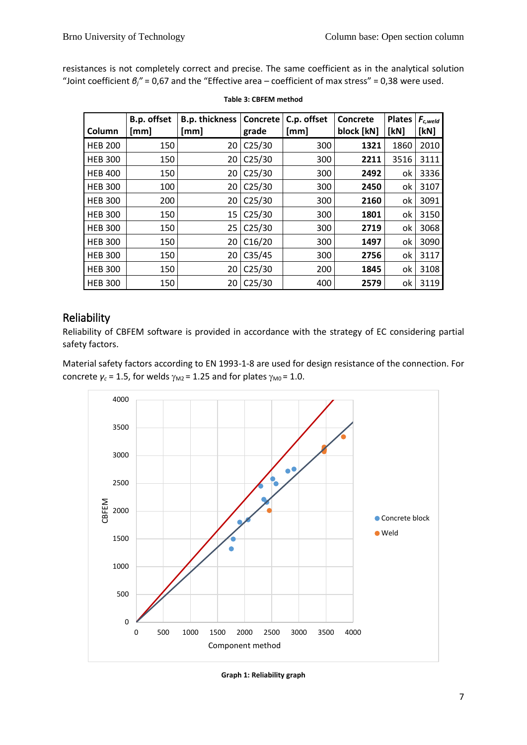resistances is not completely correct and precise. The same coefficient as in the analytical solution "Joint coefficient *βj"* = 0,67 and the "Effective area – coefficient of max stress" = 0,38 were used.

| Column         | B.p. offset<br>[mm] | <b>B.p. thickness</b><br>[mm] | Concrete<br>grade  | C.p. offset<br>[mm] | Concrete<br>block [kN] | <b>Plates</b><br>[kN] | $F_{c,well}$<br>[kN] |
|----------------|---------------------|-------------------------------|--------------------|---------------------|------------------------|-----------------------|----------------------|
| <b>HEB 200</b> | 150                 | 20                            | C <sub>25/30</sub> | 300                 | 1321                   | 1860                  | 2010                 |
| <b>HEB 300</b> | 150                 | 20                            | C <sub>25/30</sub> | 300                 | 2211                   | 3516                  | 3111                 |
| <b>HEB 400</b> | 150                 | 20                            | C <sub>25/30</sub> | 300                 | 2492                   | ok                    | 3336                 |
| <b>HEB 300</b> | 100                 | 20                            | C <sub>25/30</sub> | 300                 | 2450                   | оk                    | 3107                 |
| <b>HEB 300</b> | 200                 | 20                            | C <sub>25/30</sub> | 300                 | 2160                   | ok                    | 3091                 |
| <b>HEB 300</b> | 150                 | 15                            | C <sub>25/30</sub> | 300                 | 1801                   | оk                    | 3150                 |
| <b>HEB 300</b> | 150                 | 25                            | C <sub>25/30</sub> | 300                 | 2719                   | ok                    | 3068                 |
| <b>HEB 300</b> | 150                 | 20                            | C16/20             | 300                 | 1497                   | оk                    | 3090                 |
| <b>HEB 300</b> | 150                 | 20                            | C35/45             | 300                 | 2756                   | оk                    | 3117                 |
| <b>HEB 300</b> | 150                 | 20                            | C <sub>25/30</sub> | 200                 | 1845                   | оk                    | 3108                 |
| <b>HEB 300</b> | 150                 | 20                            | C <sub>25/30</sub> | 400                 | 2579                   | ok                    | 3119                 |

### **Table 3: CBFEM method**

# Reliability

Reliability of CBFEM software is provided in accordance with the strategy of EC considering partial safety factors.

Material safety factors according to EN 1993-1-8 are used for design resistance of the connection. For concrete  $\gamma_c$  = 1.5, for welds  $\gamma_{M2}$  = 1.25 and for plates  $\gamma_{M0}$  = 1.0.



**Graph 1: Reliability graph**